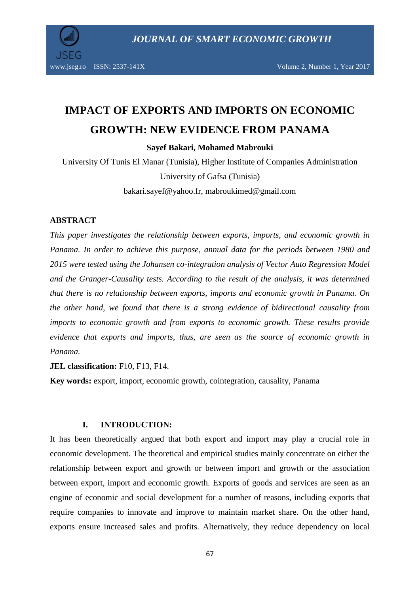

www.jseg.ro ISSN: 2537-141X Volume 2, Number 1, Year 2017

# **IMPACT OF EXPORTS AND IMPORTS ON ECONOMIC GROWTH: NEW EVIDENCE FROM PANAMA**

**Sayef Bakari, Mohamed Mabrouki**

University Of Tunis El Manar (Tunisia), Higher Institute of Companies Administration University of Gafsa (Tunisia)

bakari.sayef@yahoo.fr, mabroukimed@gmail.com

#### **ABSTRACT**

*This paper investigates the relationship between exports, imports, and economic growth in Panama. In order to achieve this purpose, annual data for the periods between 1980 and 2015 were tested using the Johansen co-integration analysis of Vector Auto Regression Model and the Granger-Causality tests. According to the result of the analysis, it was determined that there is no relationship between exports, imports and economic growth in Panama. On the other hand, we found that there is a strong evidence of bidirectional causality from imports to economic growth and from exports to economic growth. These results provide evidence that exports and imports, thus, are seen as the source of economic growth in Panama.* 

**JEL classification:** F10, F13, F14.

**Key words:** export, import, economic growth, cointegration, causality, Panama

#### **I. INTRODUCTION:**

It has been theoretically argued that both export and import may play a crucial role in economic development. The theoretical and empirical studies mainly concentrate on either the relationship between export and growth or between import and growth or the association between export, import and economic growth. Exports of goods and services are seen as an engine of economic and social development for a number of reasons, including exports that require companies to innovate and improve to maintain market share. On the other hand, exports ensure increased sales and profits. Alternatively, they reduce dependency on local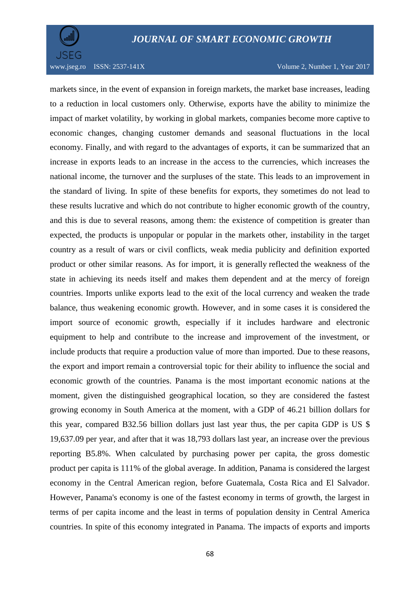

markets since, in the event of expansion in foreign markets, the market base increases, leading to a reduction in local customers only. Otherwise, exports have the ability to minimize the impact of market volatility, by working in global markets, companies become more captive to economic changes, changing customer demands and seasonal fluctuations in the local economy. Finally, and with regard to the advantages of exports, it can be summarized that an increase in exports leads to an increase in the access to the currencies, which increases the national income, the turnover and the surpluses of the state. This leads to an improvement in the standard of living. In spite of these benefits for exports, they sometimes do not lead to these results lucrative and which do not contribute to higher economic growth of the country, and this is due to several reasons, among them: the existence of competition is greater than expected, the products is unpopular or popular in the markets other, instability in the target country as a result of wars or civil conflicts, weak media publicity and definition exported product or other similar reasons. As for import, it is generally reflected the weakness of the state in achieving its needs itself and makes them dependent and at the mercy of foreign countries. Imports unlike exports lead to the exit of the local currency and weaken the trade balance, thus weakening economic growth. However, and in some cases it is considered the import source of economic growth, especially if it includes hardware and electronic equipment to help and contribute to the increase and improvement of the investment, or include products that require a production value of more than imported. Due to these reasons, the export and import remain a controversial topic for their ability to influence the social and economic growth of the countries. Panama is the most important economic nations at the moment, given the distinguished geographical location, so they are considered the fastest growing economy in South America at the moment, with a GDP of 46.21 billion dollars for this year, compared B32.56 billion dollars just last year thus, the per capita GDP is US \$ 19,637.09 per year, and after that it was 18,793 dollars last year, an increase over the previous reporting B5.8%. When calculated by purchasing power per capita, the gross domestic product per capita is 111% of the global average. In addition, Panama is considered the largest economy in the Central American region, before Guatemala, Costa Rica and El Salvador. However, Panama's economy is one of the fastest economy in terms of growth, the largest in terms of per capita income and the least in terms of population density in Central America countries. In spite of this economy integrated in Panama. The impacts of exports and imports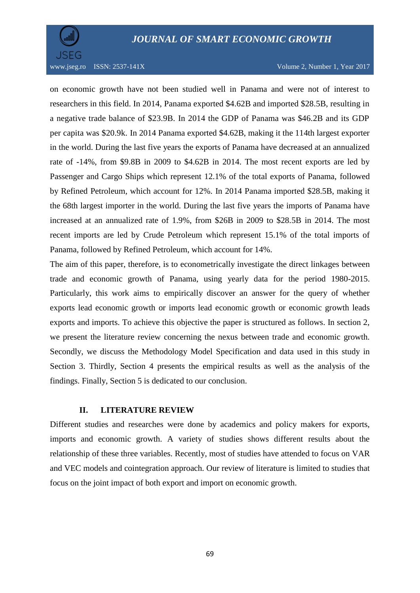

on economic growth have not been studied well in Panama and were not of interest to researchers in this field. In 2014, Panama exported \$4.62B and imported \$28.5B, resulting in a negative trade balance of \$23.9B. In 2014 the GDP of Panama was \$46.2B and its GDP per capita was \$20.9k. In 2014 Panama exported \$4.62B, making it the 114th largest exporter in the world. During the last five years the exports of Panama have decreased at an annualized rate of -14%, from \$9.8B in 2009 to \$4.62B in 2014. The most recent exports are led by Passenger and Cargo Ships which represent 12.1% of the total exports of Panama, followed by Refined Petroleum, which account for 12%. In 2014 Panama imported \$28.5B, making it the 68th largest importer in the world. During the last five years the imports of Panama have increased at an annualized rate of 1.9%, from \$26B in 2009 to \$28.5B in 2014. The most recent imports are led by Crude Petroleum which represent 15.1% of the total imports of Panama, followed by Refined Petroleum, which account for 14%.

The aim of this paper, therefore, is to econometrically investigate the direct linkages between trade and economic growth of Panama, using yearly data for the period 1980-2015. Particularly, this work aims to empirically discover an answer for the query of whether exports lead economic growth or imports lead economic growth or economic growth leads exports and imports. To achieve this objective the paper is structured as follows. In section 2, we present the literature review concerning the nexus between trade and economic growth. Secondly, we discuss the Methodology Model Specification and data used in this study in Section 3. Thirdly, Section 4 presents the empirical results as well as the analysis of the findings. Finally, Section 5 is dedicated to our conclusion.

#### **II. LITERATURE REVIEW**

Different studies and researches were done by academics and policy makers for exports, imports and economic growth. A variety of studies shows different results about the relationship of these three variables. Recently, most of studies have attended to focus on VAR and VEC models and cointegration approach. Our review of literature is limited to studies that focus on the joint impact of both export and import on economic growth.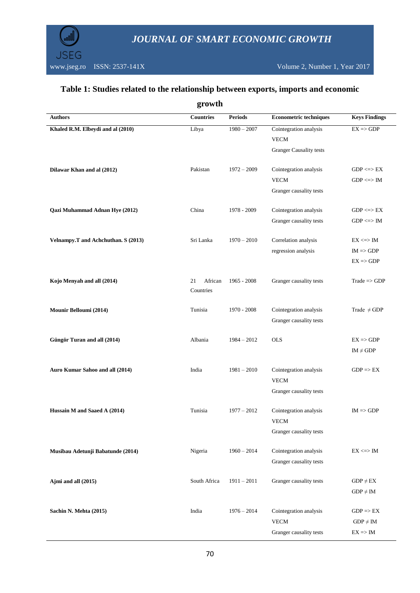

j.

## **Table 1: Studies related to the relationship between exports, imports and economic**

| growth                              |                  |                |                                        |                         |  |
|-------------------------------------|------------------|----------------|----------------------------------------|-------------------------|--|
| <b>Authors</b>                      | <b>Countries</b> | <b>Periods</b> | <b>Econometric techniques</b>          | <b>Keys Findings</b>    |  |
| Khaled R.M. Elbeydi and al (2010)   | Libya            | $1980 - 2007$  | Cointegration analysis                 | $EX \Rightarrow GDP$    |  |
|                                     |                  |                | <b>VECM</b>                            |                         |  |
|                                     |                  |                | <b>Granger Causality tests</b>         |                         |  |
| Dilawar Khan and al (2012)          | Pakistan         | $1972 - 2009$  | Cointegration analysis                 | $GDP \leq >> EX$        |  |
|                                     |                  |                | <b>VECM</b>                            | $GDP \iff IM$           |  |
|                                     |                  |                | Granger causality tests                |                         |  |
| Qazi Muhammad Adnan Hye (2012)      | China            | 1978 - 2009    | Cointegration analysis                 | $GDP \leq >> EX$        |  |
|                                     |                  |                | Granger causality tests                | $GDP \leq > IM$         |  |
| Velnampy.T and Achchuthan. S (2013) | Sri Lanka        | $1970 - 2010$  | Correlation analysis                   | $EX \ll\gg$ IM          |  |
|                                     |                  |                | regression analysis                    | $IM \Rightarrow GDP$    |  |
|                                     |                  |                |                                        | $EX \Rightarrow GDP$    |  |
| Kojo Menyah and all (2014)          | African<br>21    | 1965 - 2008    | Granger causality tests                | $Trade \Rightarrow GDP$ |  |
|                                     | Countries        |                |                                        |                         |  |
| Mounir Belloumi (2014)              | Tunisia          | 1970 - 2008    | Cointegration analysis                 | Trade $\neq$ GDP        |  |
|                                     |                  |                | Granger causality tests                |                         |  |
| Güngör Turan and all (2014)         | Albania          | $1984 - 2012$  | <b>OLS</b>                             | $EX \Rightarrow GDP$    |  |
|                                     |                  |                |                                        | $IM \neq GDP$           |  |
|                                     |                  |                |                                        |                         |  |
| Auro Kumar Sahoo and all (2014)     | India            | $1981 - 2010$  | Cointegration analysis                 | $GDP \Rightarrow EX$    |  |
|                                     |                  |                | <b>VECM</b><br>Granger causality tests |                         |  |
|                                     |                  |                |                                        |                         |  |
| Hussain M and Saaed A (2014)        | Tunisia          | $1977 - 2012$  | Cointegration analysis                 | $IM \Rightarrow GDP$    |  |
|                                     |                  |                | <b>VECM</b>                            |                         |  |
|                                     |                  |                | Granger causality tests                |                         |  |
| Musibau Adetunji Babatunde (2014)   | Nigeria          | $1960 - 2014$  | Cointegration analysis                 | $EX \iff IM$            |  |
|                                     |                  |                | Granger causality tests                |                         |  |
| Ajmi and all (2015)                 | South Africa     | $1911 - 2011$  | Granger causality tests                | $GDP \neq EX$           |  |
|                                     |                  |                |                                        | $GDP \neq IM$           |  |
| Sachin N. Mehta (2015)              | India            | $1976 - 2014$  | Cointegration analysis                 | $GDP \Rightarrow EX$    |  |
|                                     |                  |                | <b>VECM</b>                            | $GDP \neq IM$           |  |
|                                     |                  |                | Granger causality tests                | $EX \Rightarrow IM$     |  |
|                                     |                  |                |                                        |                         |  |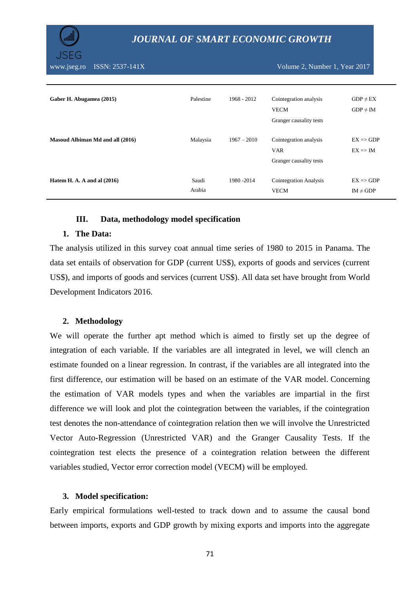www.jseg.ro ISSN: 2537-141X Volume 2, Number 1, Year 2017

| Gaber H. Abugamea (2015)         | Palestine       | 1968 - 2012   | Cointegration analysis<br><b>VECM</b><br>Granger causality tests | $GDP \neq EX$<br>$GDP \neq IM$              |
|----------------------------------|-----------------|---------------|------------------------------------------------------------------|---------------------------------------------|
| Masoud Albiman Md and all (2016) | Malaysia        | $1967 - 2010$ | Cointegration analysis<br><b>VAR</b><br>Granger causality tests  | $EX \Rightarrow GDP$<br>$EX \Rightarrow IM$ |
| Hatem H. A. A and al $(2016)$    | Saudi<br>Arabia | 1980 - 2014   | <b>Cointegration Analysis</b><br><b>VECM</b>                     | $EX \Rightarrow GDP$<br>$IM \neq GDP$       |

#### **III. Data, methodology model specification**

#### **1. The Data:**

The analysis utilized in this survey coat annual time series of 1980 to 2015 in Panama. The data set entails of observation for GDP (current US\$), exports of goods and services (current US\$), and imports of goods and services (current US\$). All data set have brought from World Development Indicators 2016.

#### **2. Methodology**

We will operate the further apt method which is aimed to firstly set up the degree of integration of each variable. If the variables are all integrated in level, we will clench an estimate founded on a linear regression. In contrast, if the variables are all integrated into the first difference, our estimation will be based on an estimate of the VAR model. Concerning the estimation of VAR models types and when the variables are impartial in the first difference we will look and plot the cointegration between the variables, if the cointegration test denotes the non-attendance of cointegration relation then we will involve the Unrestricted Vector Auto-Regression (Unrestricted VAR) and the Granger Causality Tests. If the cointegration test elects the presence of a cointegration relation between the different variables studied, Vector error correction model (VECM) will be employed.

#### **3. Model specification:**

Early empirical formulations well-tested to track down and to assume the causal bond between imports, exports and GDP growth by mixing exports and imports into the aggregate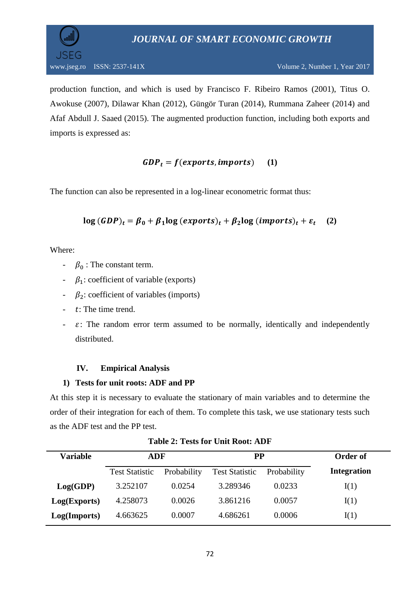

production function, and which is used by Francisco F. Ribeiro Ramos (2001), Titus O. Awokuse (2007), Dilawar Khan (2012), Güngör Turan (2014), Rummana Zaheer (2014) and Afaf Abdull J. Saaed (2015). The augmented production function, including both exports and imports is expressed as:

## $GDP_t = f(exports, imports)$  (1)

The function can also be represented in a log-linear econometric format thus:

$$
\log (GDP)_t = \beta_0 + \beta_1 \log (exports)_t + \beta_2 \log (imports)_t + \varepsilon_t \quad (2)
$$

Where:

- $\beta_0$ : The constant term.
- $\beta_1$ : coefficient of variable (exports)
- $\beta_2$ : coefficient of variables (imports)
- $\cdot$  t: The time trend.
- $\varepsilon$ : The random error term assumed to be normally, identically and independently distributed.

## **IV. Empirical Analysis**

## **1) Tests for unit roots: ADF and PP**

At this step it is necessary to evaluate the stationary of main variables and to determine the order of their integration for each of them. To complete this task, we use stationary tests such as the ADF test and the PP test.

| Variable     | ADF                   |             | PP                    | Order of    |                    |
|--------------|-----------------------|-------------|-----------------------|-------------|--------------------|
|              | <b>Test Statistic</b> | Probability | <b>Test Statistic</b> | Probability | <b>Integration</b> |
| Log(GDP)     | 3.252107              | 0.0254      | 3.289346              | 0.0233      | I(1)               |
| Log(Express) | 4.258073              | 0.0026      | 3.861216              | 0.0057      | I(1)               |
| Log(Imports) | 4.663625              | 0.0007      | 4.686261              | 0.0006      | I(1)               |

**Table 2: Tests for Unit Root: ADF**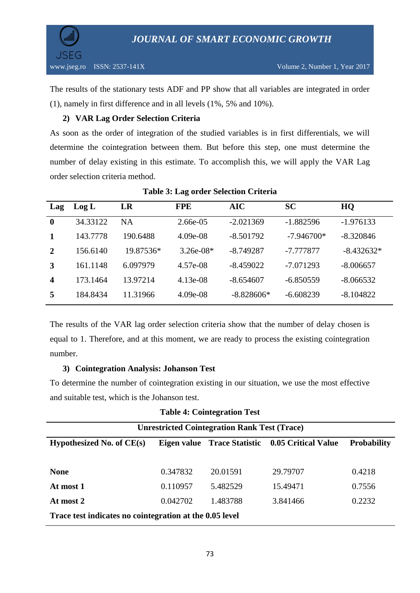

The results of the stationary tests ADF and PP show that all variables are integrated in order (1), namely in first difference and in all levels (1%, 5% and 10%).

## **2) VAR Lag Order Selection Criteria**

As soon as the order of integration of the studied variables is in first differentials, we will determine the cointegration between them. But before this step, one must determine the number of delay existing in this estimate. To accomplish this, we will apply the VAR Lag order selection criteria method.

| Lag              | Log L    | LR        | <b>FPE</b>  | <b>AIC</b>   | <b>SC</b>    | HQ           |
|------------------|----------|-----------|-------------|--------------|--------------|--------------|
| $\boldsymbol{0}$ | 34.33122 | <b>NA</b> | 2.66e-05    | $-2.021369$  | $-1.882596$  | $-1.976133$  |
|                  | 143.7778 | 190.6488  | $4.09e-08$  | $-8.501792$  | $-7.946700*$ | $-8.320846$  |
| 2                | 156.6140 | 19.87536* | $3.26e-08*$ | $-8.749287$  | -7.777877    | $-8.432632*$ |
|                  | 161.1148 | 6.097979  | 4.57e-08    | $-8.459022$  | $-7.071293$  | $-8.006657$  |
| $\boldsymbol{4}$ | 173.1464 | 13.97214  | $4.13e-08$  | $-8.654607$  | $-6.850559$  | $-8.066532$  |
| 5                | 184.8434 | 11.31966  | $4.09e-08$  | $-8.828606*$ | $-6.608239$  | $-8.104822$  |

## **Table 3: Lag order Selection Criteria**

The results of the VAR lag order selection criteria show that the number of delay chosen is equal to 1. Therefore, and at this moment, we are ready to process the existing cointegration number.

## **3) Cointegration Analysis: Johanson Test**

To determine the number of cointegration existing in our situation, we use the most effective and suitable test, which is the Johanson test.

| Table 7. Connect attent Test                                                                         |          |          |          |        |  |  |
|------------------------------------------------------------------------------------------------------|----------|----------|----------|--------|--|--|
| <b>Unrestricted Cointegration Rank Test (Trace)</b>                                                  |          |          |          |        |  |  |
| Hypothesized No. of $CE(s)$<br><b>Probability</b><br>Eigen value Trace Statistic 0.05 Critical Value |          |          |          |        |  |  |
|                                                                                                      |          |          |          |        |  |  |
| <b>None</b>                                                                                          | 0.347832 | 20.01591 | 29.79707 | 0.4218 |  |  |
| At most 1                                                                                            | 0.110957 | 5.482529 | 15.49471 | 0.7556 |  |  |
| At most 2                                                                                            | 0.042702 | 1.483788 | 3.841466 | 0.2232 |  |  |
| Trace test indicates no cointegration at the 0.05 level                                              |          |          |          |        |  |  |
|                                                                                                      |          |          |          |        |  |  |

## **Table 4: Cointegration Test**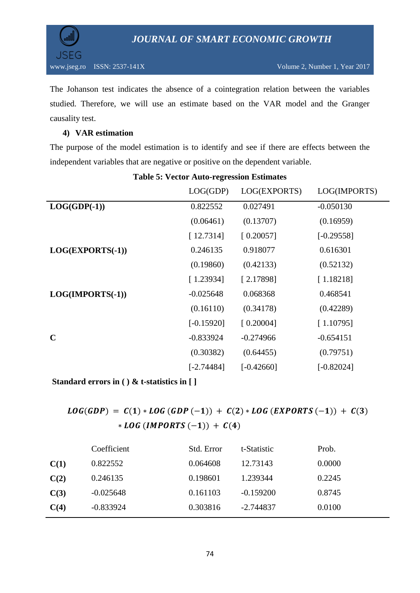



The Johanson test indicates the absence of a cointegration relation between the variables studied. Therefore, we will use an estimate based on the VAR model and the Granger causality test.

## **4) VAR estimation**

The purpose of the model estimation is to identify and see if there are effects between the independent variables that are negative or positive on the dependent variable.

|                    | LOG(GDP)     | LOG(EXPORTS) | LOG(IMPORTS) |
|--------------------|--------------|--------------|--------------|
| $LOG(GDP(-1))$     | 0.822552     | 0.027491     | $-0.050130$  |
|                    | (0.06461)    | (0.13707)    | (0.16959)    |
|                    | [12.7314]    | [0.20057]    | $[-0.29558]$ |
| LOG(EXPORTS(-1))   | 0.246135     | 0.918077     | 0.616301     |
|                    | (0.19860)    | (0.42133)    | (0.52132)    |
|                    | [1.23934]    | [2.17898]    | [1.18218]    |
| $LOG(IMPORTS(-1))$ | $-0.025648$  | 0.068368     | 0.468541     |
|                    | (0.16110)    | (0.34178)    | (0.42289)    |
|                    | $[-0.15920]$ | [0.20004]    | [1.10795]    |
| $\mathbf C$        | $-0.833924$  | $-0.274966$  | $-0.654151$  |
|                    | (0.30382)    | (0.64455)    | (0.79751)    |
|                    | $[-2.74484]$ | $[-0.42660]$ | $[-0.82024]$ |
|                    |              |              |              |

## **Table 5: Vector Auto-regression Estimates**

**Standard errors in ( ) & t-statistics in [ ]**

## $LOG(GDP) = C(1) * LOG(GDP(-1)) + C(2) * LOG(EXPORTS(-1)) + C(3)$ \* LOG (IMPORTS  $(-1)$ ) + C(4)

|      | Coefficient | Std. Error | t-Statistic | Prob.  |
|------|-------------|------------|-------------|--------|
| C(1) | 0.822552    | 0.064608   | 12.73143    | 0.0000 |
| C(2) | 0.246135    | 0.198601   | 1.239344    | 0.2245 |
| C(3) | $-0.025648$ | 0.161103   | $-0.159200$ | 0.8745 |
| C(4) | $-0.833924$ | 0.303816   | $-2.744837$ | 0.0100 |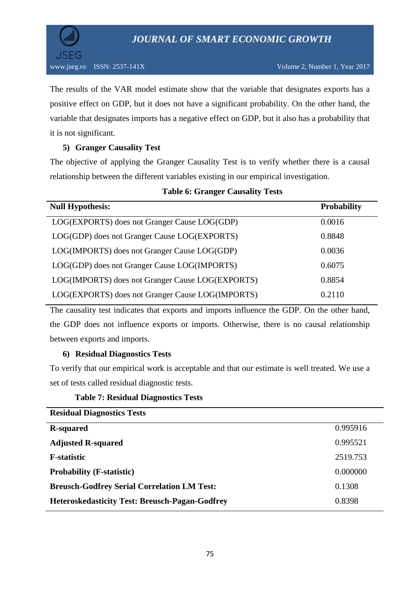

The results of the VAR model estimate show that the variable that designates exports has a positive effect on GDP, but it does not have a significant probability. On the other hand, the variable that designates imports has a negative effect on GDP, but it also has a probability that it is not significant.

## **5) Granger Causality Test**

The objective of applying the Granger Causality Test is to verify whether there is a causal relationship between the different variables existing in our empirical investigation.

| <b>Null Hypothesis:</b>                          | <b>Probability</b> |
|--------------------------------------------------|--------------------|
| LOG(EXPORTS) does not Granger Cause LOG(GDP)     | 0.0016             |
| LOG(GDP) does not Granger Cause LOG(EXPORTS)     | 0.8848             |
| LOG(IMPORTS) does not Granger Cause LOG(GDP)     | 0.0036             |
| LOG(GDP) does not Granger Cause LOG(IMPORTS)     | 0.6075             |
| LOG(IMPORTS) does not Granger Cause LOG(EXPORTS) | 0.8854             |
| LOG(EXPORTS) does not Granger Cause LOG(IMPORTS) | 0.2110             |

#### **Table 6: Granger Causality Tests**

The causality test indicates that exports and imports influence the GDP. On the other hand, the GDP does not influence exports or imports. Otherwise, there is no causal relationship between exports and imports.

## **6) Residual Diagnostics Tests**

To verify that our empirical work is acceptable and that our estimate is well treated. We use a set of tests called residual diagnostic tests.

#### **Table 7: Residual Diagnostics Tests**

| <b>Residual Diagnostics Tests</b>                     |          |
|-------------------------------------------------------|----------|
| <b>R-squared</b>                                      | 0.995916 |
| <b>Adjusted R-squared</b>                             | 0.995521 |
| <b>F</b> -statistic                                   | 2519.753 |
| <b>Probability (F-statistic)</b>                      | 0.000000 |
| <b>Breusch-Godfrey Serial Correlation LM Test:</b>    | 0.1308   |
| <b>Heteroskedasticity Test: Breusch-Pagan-Godfrey</b> | 0.8398   |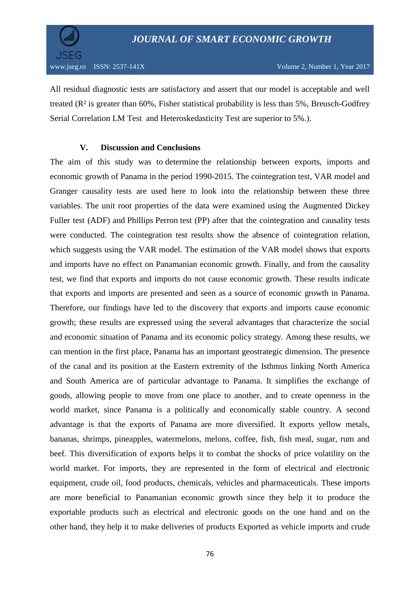

All residual diagnostic tests are satisfactory and assert that our model is acceptable and well treated (R² is greater than 60%, Fisher statistical probability is less than 5%, Breusch-Godfrey Serial Correlation LM Test and Heteroskedasticity Test are superior to 5%.).

## **V. Discussion and Conclusions**

The aim of this study was to determine the relationship between exports, imports and economic growth of Panama in the period 1990-2015. The cointegration test, VAR model and Granger causality tests are used here to look into the relationship between these three variables. The unit root properties of the data were examined using the Augmented Dickey Fuller test (ADF) and Phillips Perron test (PP) after that the cointegration and causality tests were conducted. The cointegration test results show the absence of cointegration relation, which suggests using the VAR model. The estimation of the VAR model shows that exports and imports have no effect on Panamanian economic growth. Finally, and from the causality test, we find that exports and imports do not cause economic growth. These results indicate that exports and imports are presented and seen as a source of economic growth in Panama. Therefore, our findings have led to the discovery that exports and imports cause economic growth; these results are expressed using the several advantages that characterize the social and economic situation of Panama and its economic policy strategy. Among these results, we can mention in the first place, Panama has an important geostrategic dimension. The presence of the canal and its position at the Eastern extremity of the Isthmus linking North America and South America are of particular advantage to Panama. It simplifies the exchange of goods, allowing people to move from one place to another, and to create openness in the world market, since Panama is a politically and economically stable country. A second advantage is that the exports of Panama are more diversified. It exports yellow metals, bananas, shrimps, pineapples, watermelons, melons, coffee, fish, fish meal, sugar, rum and beef. This diversification of exports helps it to combat the shocks of price volatility on the world market. For imports, they are represented in the form of electrical and electronic equipment, crude oil, food products, chemicals, vehicles and pharmaceuticals. These imports are more beneficial to Panamanian economic growth since they help it to produce the exportable products such as electrical and electronic goods on the one hand and on the other hand, they help it to make deliveries of products Exported as vehicle imports and crude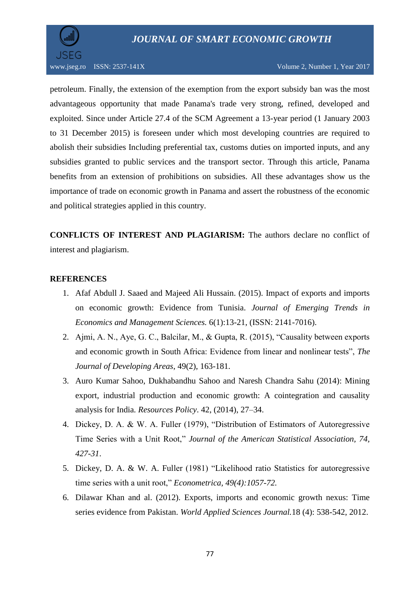



petroleum. Finally, the extension of the exemption from the export subsidy ban was the most advantageous opportunity that made Panama's trade very strong, refined, developed and exploited. Since under Article 27.4 of the SCM Agreement a 13-year period (1 January 2003 to 31 December 2015) is foreseen under which most developing countries are required to abolish their subsidies Including preferential tax, customs duties on imported inputs, and any subsidies granted to public services and the transport sector. Through this article, Panama benefits from an extension of prohibitions on subsidies. All these advantages show us the importance of trade on economic growth in Panama and assert the robustness of the economic and political strategies applied in this country.

**CONFLICTS OF INTEREST AND PLAGIARISM:** The authors declare no conflict of interest and plagiarism.

#### **REFERENCES**

- 1. Afaf Abdull J. Saaed and Majeed Ali Hussain. (2015). Impact of exports and imports on economic growth: Evidence from Tunisia. *Journal of Emerging Trends in Economics and Management Sciences.* 6(1):13-21, (ISSN: 2141-7016).
- 2. Ajmi, A. N., Aye, G. C., Balcilar, M., & Gupta, R. (2015), "Causality between exports and economic growth in South Africa: Evidence from linear and nonlinear tests", *The Journal of Developing Areas*, 49(2), 163-181.
- 3. Auro Kumar Sahoo, Dukhabandhu Sahoo and Naresh Chandra Sahu (2014): Mining export, industrial production and economic growth: A cointegration and causality analysis for India*. Resources Policy*. 42, (2014), 27–34.
- 4. Dickey, D. A. & W. A. Fuller (1979), "Distribution of Estimators of Autoregressive Time Series with a Unit Root," *Journal of the American Statistical Association, 74, 427-31*.
- 5. Dickey, D. A. & W. A. Fuller (1981) "Likelihood ratio Statistics for autoregressive time series with a unit root," *Econometrica, 49(4):1057-72.*
- 6. Dilawar Khan and al. (2012). Exports, imports and economic growth nexus: Time series evidence from Pakistan. *World Applied Sciences Journal.*18 (4): 538-542, 2012.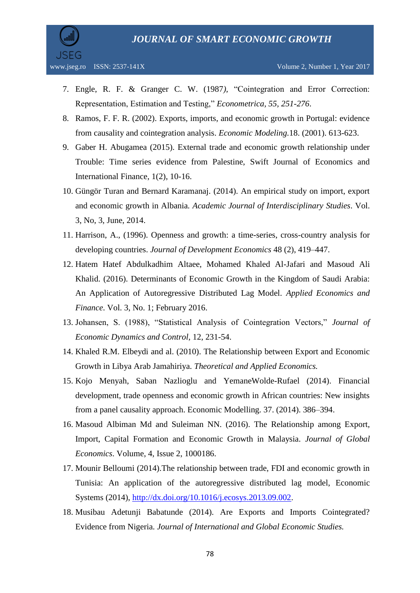

- 7. Engle, R. F. & Granger C. W. (1987*),* "Cointegration and Error Correction: Representation, Estimation and Testing," *Econometrica, 55, 251-276*.
- 8. Ramos, F. F. R. (2002). Exports, imports, and economic growth in Portugal: evidence from causality and cointegration analysis. *Economic Modeling.*18. (2001). 613-623.
- 9. Gaber H. Abugamea (2015). External trade and economic growth relationship under Trouble: Time series evidence from Palestine, Swift Journal of Economics and International Finance, 1(2), 10-16.
- 10. Güngör Turan and Bernard Karamanaj. (2014). An empirical study on import, export and economic growth in Albania*. Academic Journal of Interdisciplinary Studies*. Vol. 3, No, 3, June, 2014.
- 11. Harrison, A., (1996). Openness and growth: a time-series, cross-country analysis for developing countries. *Journal of Development Economics* 48 (2), 419–447.
- 12. Hatem Hatef Abdulkadhim Altaee, Mohamed Khaled Al-Jafari and Masoud Ali Khalid. (2016). Determinants of Economic Growth in the Kingdom of Saudi Arabia: An Application of Autoregressive Distributed Lag Model. *Applied Economics and Finance*. Vol. 3, No. 1; February 2016.
- 13. Johansen, S. (1988), "Statistical Analysis of Cointegration Vectors," *Journal of Economic Dynamics and Control,* 12, 231-54.
- 14. Khaled R.M. Elbeydi and al. (2010). The Relationship between Export and Economic Growth in Libya Arab Jamahiriya. *Theoretical and Applied Economics.*
- 15. Kojo Menyah, Saban Nazlioglu and YemaneWolde-Rufael (2014). Financial development, trade openness and economic growth in African countries: New insights from a panel causality approach. Economic Modelling. 37. (2014). 386–394.
- 16. Masoud Albiman Md and Suleiman NN. (2016). The Relationship among Export, Import, Capital Formation and Economic Growth in Malaysia. *Journal of Global Economics*. Volume, 4, Issue 2, 1000186.
- 17. Mounir Belloumi (2014).The relationship between trade, FDI and economic growth in Tunisia: An application of the autoregressive distributed lag model, Economic Systems (2014), [http://dx.doi.org/10.1016/j.ecosys.2013.09.002.](http://dx.doi.org/10.1016/j.ecosys.2013.09.002)
- 18. Musibau Adetunji Babatunde (2014). Are Exports and Imports Cointegrated? Evidence from Nigeria. *Journal of International and Global Economic Studies.*